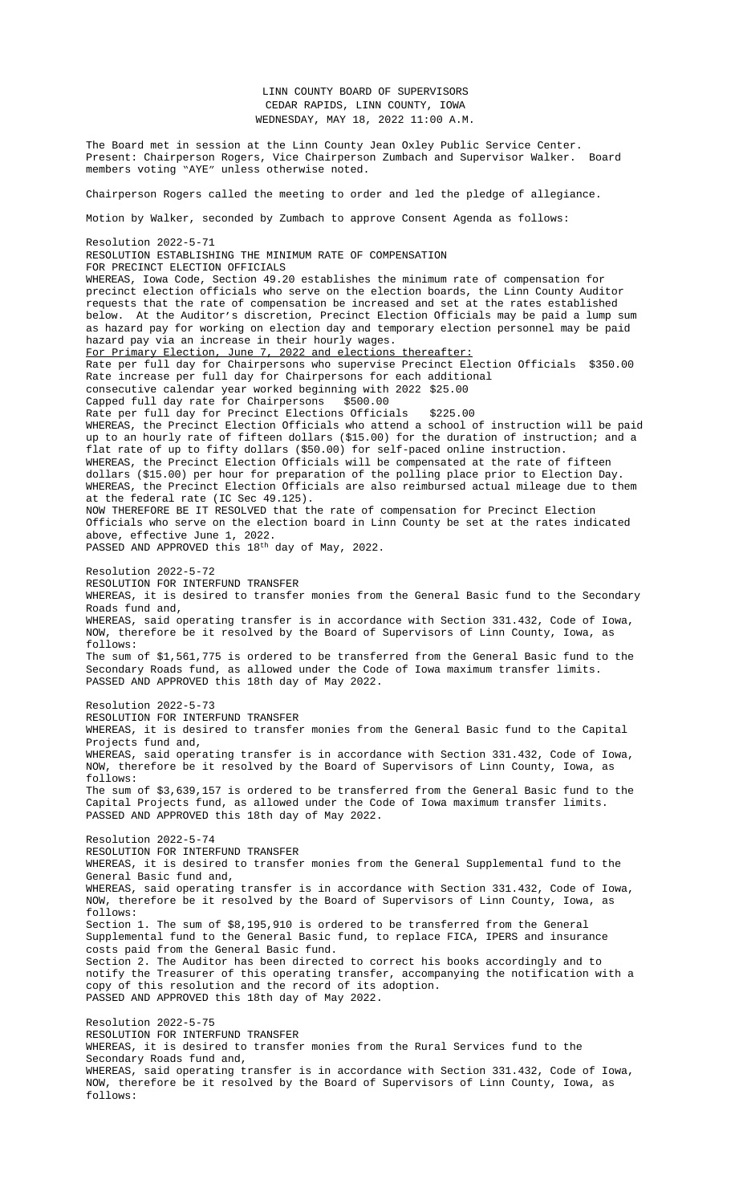LINN COUNTY BOARD OF SUPERVISORS CEDAR RAPIDS, LINN COUNTY, IOWA WEDNESDAY, MAY 18, 2022 11:00 A.M.

The Board met in session at the Linn County Jean Oxley Public Service Center. Present: Chairperson Rogers, Vice Chairperson Zumbach and Supervisor Walker. Board members voting "AYE" unless otherwise noted. Chairperson Rogers called the meeting to order and led the pledge of allegiance. Motion by Walker, seconded by Zumbach to approve Consent Agenda as follows: Resolution 2022-5-71 RESOLUTION ESTABLISHING THE MINIMUM RATE OF COMPENSATION FOR PRECINCT ELECTION OFFICIALS WHEREAS, Iowa Code, Section 49.20 establishes the minimum rate of compensation for precinct election officials who serve on the election boards, the Linn County Auditor requests that the rate of compensation be increased and set at the rates established below. At the Auditor's discretion, Precinct Election Officials may be paid a lump sum as hazard pay for working on election day and temporary election personnel may be paid hazard pay via an increase in their hourly wages. For Primary Election, June 7, 2022 and elections thereafter: Rate per full day for Chairpersons who supervise Precinct Election Officials \$350.00 Rate increase per full day for Chairpersons for each additional consecutive calendar year worked beginning with 2022 \$25.00 Capped full day rate for Chairpersons \$500.00 Rate per full day for Precinct Elections Officials \$225.00 WHEREAS, the Precinct Election Officials who attend a school of instruction will be paid up to an hourly rate of fifteen dollars (\$15.00) for the duration of instruction; and a flat rate of up to fifty dollars (\$50.00) for self-paced online instruction. WHEREAS, the Precinct Election Officials will be compensated at the rate of fifteen dollars (\$15.00) per hour for preparation of the polling place prior to Election Day. WHEREAS, the Precinct Election Officials are also reimbursed actual mileage due to them at the federal rate (IC Sec 49.125). NOW THEREFORE BE IT RESOLVED that the rate of compensation for Precinct Election Officials who serve on the election board in Linn County be set at the rates indicated above, effective June 1, 2022. PASSED AND APPROVED this 18th day of May, 2022. Resolution 2022-5-72 RESOLUTION FOR INTERFUND TRANSFER WHEREAS, it is desired to transfer monies from the General Basic fund to the Secondary Roads fund and, WHEREAS, said operating transfer is in accordance with Section 331.432, Code of Iowa, NOW, therefore be it resolved by the Board of Supervisors of Linn County, Iowa, as follows: The sum of \$1,561,775 is ordered to be transferred from the General Basic fund to the Secondary Roads fund, as allowed under the Code of Iowa maximum transfer limits. PASSED AND APPROVED this 18th day of May 2022. Resolution 2022-5-73 RESOLUTION FOR INTERFUND TRANSFER WHEREAS, it is desired to transfer monies from the General Basic fund to the Capital Projects fund and, WHEREAS, said operating transfer is in accordance with Section 331.432, Code of Iowa, NOW, therefore be it resolved by the Board of Supervisors of Linn County, Iowa, as follows: The sum of \$3,639,157 is ordered to be transferred from the General Basic fund to the Capital Projects fund, as allowed under the Code of Iowa maximum transfer limits. PASSED AND APPROVED this 18th day of May 2022. Resolution 2022-5-74 RESOLUTION FOR INTERFUND TRANSFER WHEREAS, it is desired to transfer monies from the General Supplemental fund to the General Basic fund and, WHEREAS, said operating transfer is in accordance with Section 331.432, Code of Iowa, NOW, therefore be it resolved by the Board of Supervisors of Linn County, Iowa, as follows: Section 1. The sum of \$8,195,910 is ordered to be transferred from the General Supplemental fund to the General Basic fund, to replace FICA, IPERS and insurance costs paid from the General Basic fund. Section 2. The Auditor has been directed to correct his books accordingly and to notify the Treasurer of this operating transfer, accompanying the notification with a copy of this resolution and the record of its adoption. PASSED AND APPROVED this 18th day of May 2022. Resolution 2022-5-75 RESOLUTION FOR INTERFUND TRANSFER WHEREAS, it is desired to transfer monies from the Rural Services fund to the

Secondary Roads fund and, WHEREAS, said operating transfer is in accordance with Section 331.432, Code of Iowa, NOW, therefore be it resolved by the Board of Supervisors of Linn County, Iowa, as follows: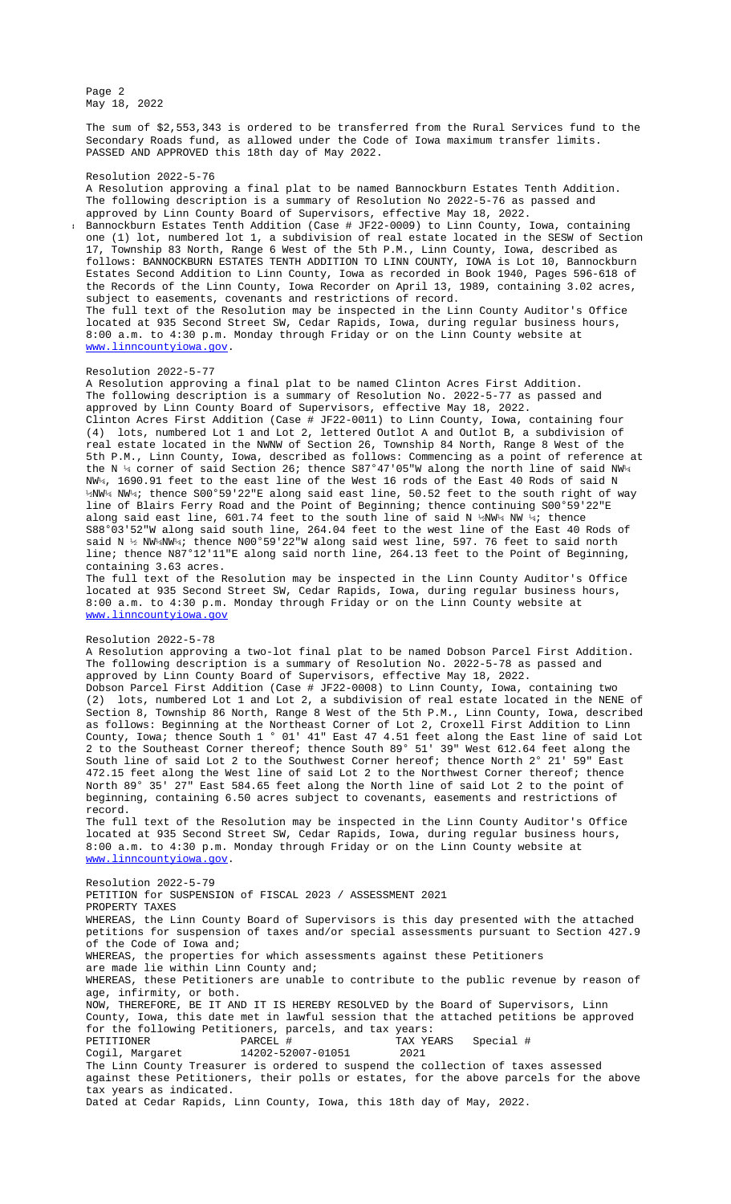follows: BANNOCKBURN ESTATES TENTH ADDITION TO LINN COUNTY, IOWA is Lot 10, Bannockburn Estates Second Addition to Linn County, Iowa as recorded in Book 1940, Pages 596-618 of the Records of the Linn County, Iowa Recorder on April 13, 1989, containing 3.02 acres, subject to easements, covenants and restrictions of record. The full text of the Resolution may be inspected in the Linn County Auditor's Office located at 935 Second Street SW, Cedar Rapids, Iowa, during regular business hours, 8:00 a.m. to 4:30 p.m. Monday through Friday or on the Linn County website at

## www.linncountyiowa.gov.

## Resolution 2022-5-77

A Resolution approving a final plat to be named Clinton Acres First Addition. The following description is a summary of Resolution No. 2022-5-77 as passed and approved by Linn County Board of Supervisors, effective May 18, 2022. Clinton Acres First Addition (Case # JF22-0011) to Linn County, Iowa, containing four (4) lots, numbered Lot 1 and Lot 2, lettered Outlot A and Outlot B, a subdivision of real estate located in the NWNW of Section 26, Township 84 North, Range 8 West of the 5th P.M., Linn County, Iowa, described as follows: Commencing as a point of reference at the N ¼ corner of said Section 26; thence S87°47'05"W along the north line of said NW¼ NW¼, 1690.91 feet to the east line of the West 16 rods of the East 40 Rods of said N ½NW¼ NW¼; thence S00°59'22"E along said east line, 50.52 feet to the south right of way line of Blairs Ferry Road and the Point of Beginning; thence continuing S00°59'22"E along said east line, 601.74 feet to the south line of said N ½NW¼ NW ¼; thence S88°03'52"W along said south line, 264.04 feet to the west line of the East 40 Rods of said N ½ NW¼NW¼; thence N00°59'22"W along said west line, 597. 76 feet to said north line; thence N87°12'11"E along said north line, 264.13 feet to the Point of Beginning, containing 3.63 acres.

The full text of the Resolution may be inspected in the Linn County Auditor's Office located at 935 Second Street SW, Cedar Rapids, Iowa, during regular business hours, [8:00 a.m. to 4:30 p.m.](http://www.linncountyiowa.gov) Monday through Friday or on the Linn County website at www.linncountyiowa.gov

## Resolution 2022-5-78

A Resolution approving a two-lot final plat to be named Dobson Parcel First Addition. The following description is a summary of Resolution No. 2022-5-78 as passed and approved by Linn County Board of Supervisors, effective May 18, 2022.

Dobson Parcel First Addition (Case # JF22-0008) to Linn County, Iowa, containing two (2) lots, numbered Lot 1 and Lot 2, a subdivision of real estate located in the NENE of Section 8, Township 86 North, Range 8 West of the 5th P.M., Linn County, Iowa, described as follows: Beginning at the Northeast Corner of Lot 2, Croxell First Addition to Linn County, Iowa; thence South 1 ° 01' 41" East 47 4.51 feet along the East line of said Lot 2 to the Southeast Corner thereof; thence South 89° 51' 39" West 612.64 feet along the South line of said Lot 2 to the Southwest Corner hereof; thence North 2° 21' 59" East 472.15 feet along the West line of said Lot 2 to the Northwest Corner thereof; thence North 89° 35' 27" East 584.65 feet along the North line of said Lot 2 to the point of beginning, containing 6.50 acres subject to covenants, easements and restrictions of record.

The full text of the Resolution may be inspected in the Linn County Auditor's Office located at 935 Second Street SW, Cedar Rapids, Iowa, during regular business hours, 8:00 a.m. to 4:30 p.m. Monday through Friday or on the Linn County website at www.linncountyiowa.gov.

[Resolution 2022-5-79](http://www.linncountyiowa.gov) PETITION for SUSPENSION of FISCAL 2023 / ASSESSMENT 2021 PROPERTY TAXES WHEREAS, the Linn County Board of Supervisors is this day presented with the attached petitions for suspension of taxes and/or special assessments pursuant to Section 427.9 of the Code of Iowa and; WHEREAS, the properties for which assessments against these Petitioners are made lie within Linn County and; WHEREAS, these Petitioners are unable to contribute to the public revenue by reason of age, infirmity, or both. NOW, THEREFORE, BE IT AND IT IS HEREBY RESOLVED by the Board of Supervisors, Linn County, Iowa, this date met in lawful session that the attached petitions be approved for the following Petitioners, parcels, and tax years:<br>PETITIONER PARCEL # TAX YE. PETITIONER PARCEL # TAX YEARS Special # Cogil, Margaret 14202-52007-01051 2021 The Linn County Treasurer is ordered to suspend the collection of taxes assessed against these Petitioners, their polls or estates, for the above parcels for the above tax years as indicated. Dated at Cedar Rapids, Linn County, Iowa, this 18th day of May, 2022.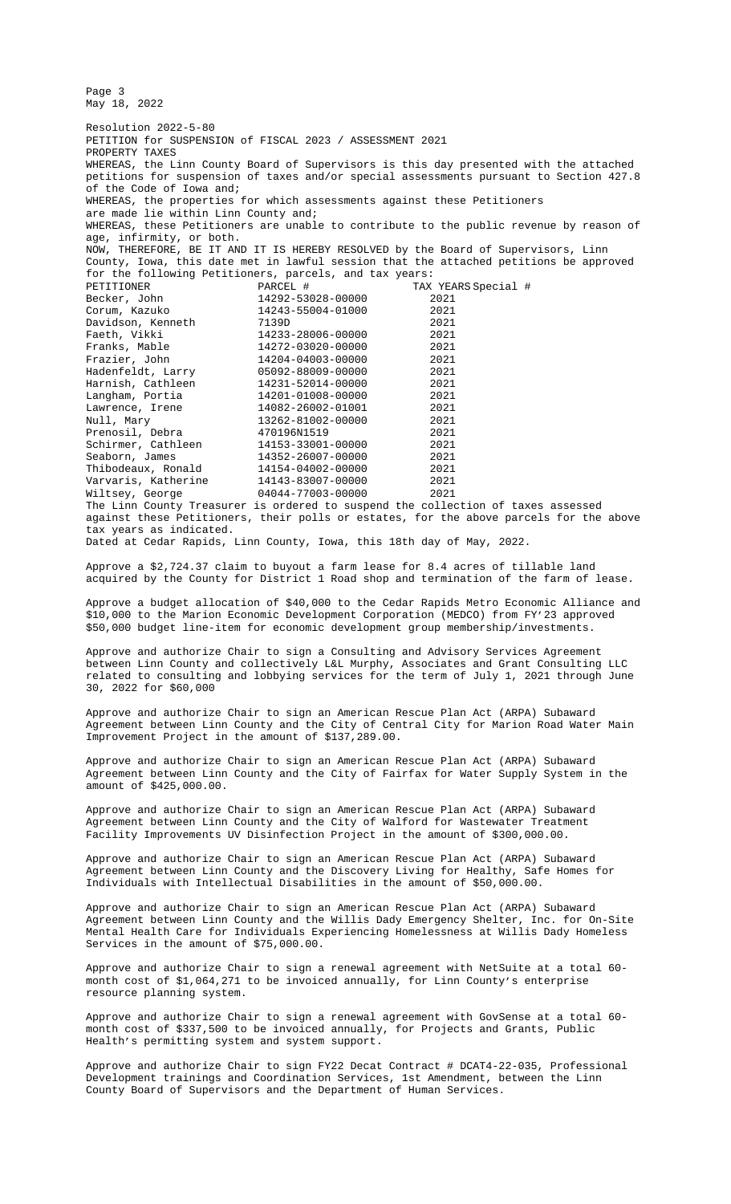County, Iowa, this date met in lawful session that the attached petitions be approved for the following Petitioners, parcels, and tax years: PETITIONER PARCEL # TAX YEARS Special # Becker, John 14292-53028-00000 2021 Corum, Kazuko 14243-55004-01000 2021 Davidson, Kenneth 7139D 2021<br>Faeth, Vikki 14233-28006-00000 2021 Faeth, Vikki 14233-28006-00000<br>Franks, Mable 14272-03020-00000<br>11221-01002-00000 Franks, Mable 14272-03020-00000 2021 Frazier, John 14204-04003-00000 2021<br>
Hadenfeldt, Larry 05092-88009-00000 2021 Hadenfeldt, Larry 05092-88009-00000 2021 Harnish, Cathleen 14231-52014-00000 2021 Langham, Portia 14201-01008-00000 2021 Lawrence, Irene 14082-26002-01001 2021 Null, Mary 13262-81002-00000 2021<br>Prenosil, Debra 13262-81002-00000 2021<br>Prenosil, Debra 470196N1519 2021 Prenosil, Debra 470196N1519 2021 Schirmer, Cathleen 14153-33001-00000 2021 Prenosil, Debra (1992)<br>Schirmer, Cathleen (14153-33001-00000 2021)<br>Seaborn, James (14352-26007-00000 2021) Thibodeaux, Ronald 14154-04002-00000 2021 Varvaris, Katherine 14143-83007-00000 2021 Wiltsey, George 04044-77003-00000 2021 The Linn County Treasurer is ordered to suspend the collection of taxes assessed against these Petitioners, their polls or estates, for the above parcels for the above tax years as indicated.

Dated at Cedar Rapids, Linn County, Iowa, this 18th day of May, 2022.

Approve a \$2,724.37 claim to buyout a farm lease for 8.4 acres of tillable land acquired by the County for District 1 Road shop and termination of the farm of lease.

Approve a budget allocation of \$40,000 to the Cedar Rapids Metro Economic Alliance and \$10,000 to the Marion Economic Development Corporation (MEDCO) from FY'23 approved \$50,000 budget line-item for economic development group membership/investments.

Approve and authorize Chair to sign a Consulting and Advisory Services Agreement between Linn County and collectively L&L Murphy, Associates and Grant Consulting LLC related to consulting and lobbying services for the term of July 1, 2021 through June 30, 2022 for \$60,000

Approve and authorize Chair to sign an American Rescue Plan Act (ARPA) Subaward Agreement between Linn County and the City of Central City for Marion Road Water Main Improvement Project in the amount of \$137,289.00.

Approve and authorize Chair to sign an American Rescue Plan Act (ARPA) Subaward Agreement between Linn County and the City of Fairfax for Water Supply System in the amount of \$425,000.00.

Approve and authorize Chair to sign an American Rescue Plan Act (ARPA) Subaward Agreement between Linn County [and the City of Wa](file:///C:\\Users\\AHoy\\AppData\\Local\\Microsoft\\Windows\\INetCache\\Content.Outlook\\M9Z7QANL\\Documents\\5-16%20&%205-18%20farm%20rent%20check%20and%20buyout%20proposal%20for%208.4%20acres%20district%201%20shop.pdf)lford for Wastewater Treatment Facility Improvements UV Disinfection Project in the amount of \$300,000.00.

Approve and authorize Chair to sign an American Rescue Plan Act (ARPA) Subaward Agreement between Linn County and the Discovery Living for Healthy, Safe Homes for Individuals with Intellectual Disabilities in the amount of \$50,000.00.

Approve and authorize Chair to sign a[n American Rescue Plan Act \(ARPA\) Subaward](file:///C:\\Users\\AHoy\\AppData\\Local\\Microsoft\\Windows\\INetCache\\Content.Outlook\\M9Z7QANL\\Documents\\5-16%20&%205-18%20Murphy%20and%20Grant%20Consulting%20and%20Advisory%20Services%20Agreement.pdf) Agreement between Linn County and the Willis Dady Emergency Shelter, Inc. for On-Site Mental Health Care for Individuals Experiencing Homelessness at Willis Dady Homeless Services in the amount of \$75,000.00.

Approve and authorize Chair to sign a renewal agreement with NetSuite at a total 60 month cost of \$1,064,271 to be invoic[ed annually, for Linn](file:///C:\\Users\\AHoy\\AppData\\Local\\Microsoft\\Windows\\INetCache\\Content.Outlook\\M9Z7QANL\\Documents\\5-18%20ARPA%20Subaward%20Agreement%20-%20CENTRAL%20CITY%20-%20signed.pdf) County's enterprise resource planning system.

Approve and authorize Chair to sign a renewal agreement with GovSense at a total 60 month cost of \$337,500 to be invoiced [annually, for P](file:///C:\\Users\\AHoy\\AppData\\Local\\Microsoft\\Windows\\INetCache\\Content.Outlook\\M9Z7QANL\\Documents\\5-18%20ARPA%20Subaward%20Agreement%20-%20Fairfax%20-%20Signed.pdf)rojects and Grants, Public Health's permitting system and system support.

Approve and authorize Chair to sign FY22 Decat Contract # DCAT4-22-035, Professional Development trainings and Coordinatio[n Services, 1st](file:///C:\\Users\\AHoy\\AppData\\Local\\Microsoft\\Windows\\INetCache\\Content.Outlook\\M9Z7QANL\\Documents\\5-18%20ARPA%20Subaward%20Agreement%20-%20Walford%20-%20signed.pdf) Amendment, between the Linn County Board of Supervisors and the Department of Human Services.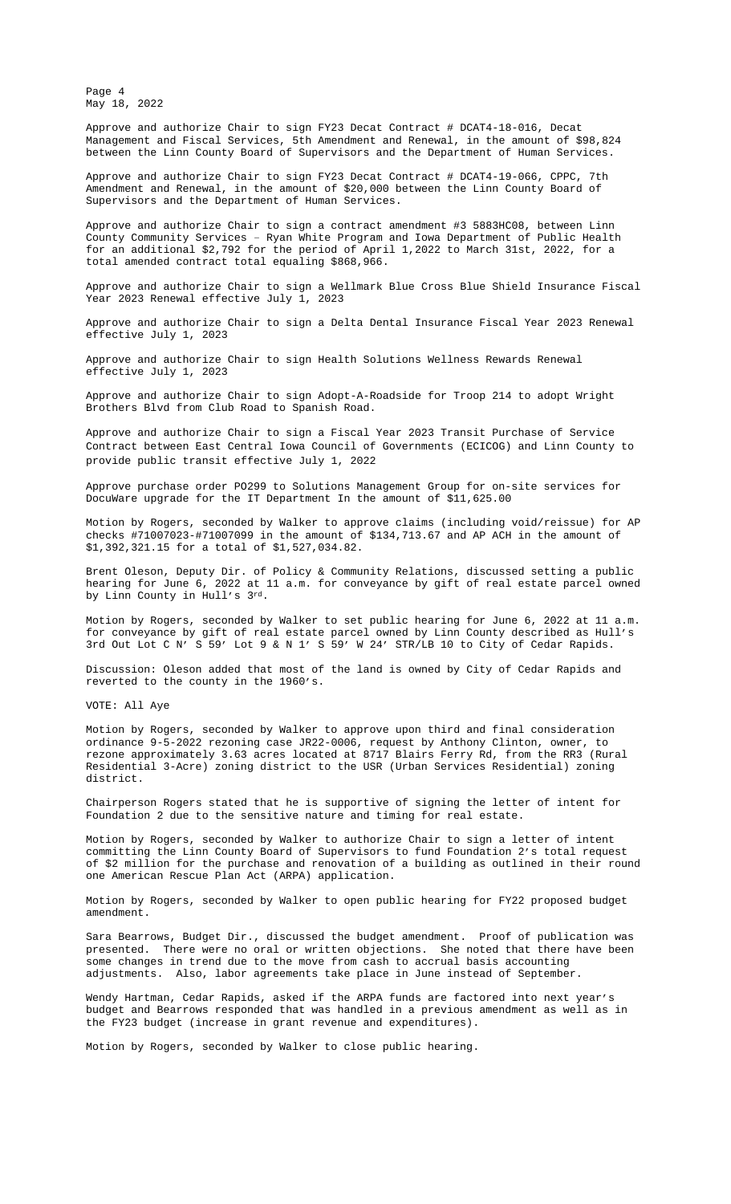total amended contract total equaling \$868,966.

Approve and authorize Chair to sign a Wellmark Blue Cross Blue Shield Insurance Fiscal Year 2023 Renewal effective July 1, 2023

Approve and authorize Chair to sign a Delta Dental Insurance Fiscal Year 2023 Renewal effective July 1, 2023

Approve and authorize Chair to sign Health Solutions Wellness Rewards Renewal effective July 1, 2023

Approve and authorize Chair to s[ign Adopt-A-Roadside for T](file:///C:\\Users\\AHoy\\AppData\\Local\\Microsoft\\Windows\\INetCache\\Content.Outlook\\M9Z7QANL\\Documents\\5-18%205th%20Amendment%20-%20DCAT4-18-016%20Staff.rtf.pdf)roop 214 to adopt Wright Brothers Blvd from Club Road to Spanish Road.

Approve and authorize Chair to sign a Fiscal Year 2023 Transit Purchase of Se[rvice](file:///C:\\Users\\AHoy\\AppData\\Local\\Microsoft\\Windows\\INetCache\\Content.Outlook\\M9Z7QANL\\Documents\\5-18%207th%20Amendment%20-%20DCAT4-19-066%20CPPC.pdf)  Contract between East Central Iowa Council of Governments (ECICOG) and Linn County to provide public transit effective July 1, 2022

Approve purchase order PO299 to Solutions Management Group for on-site services for DocuWare upgrade for the IT Department In the amount of \$11,625.00

Motion by Rogers, seconded by Walker to approve claims (including void/reissue) for AP checks #71007023-#71007099 in the amo[unt of \\$134,713.67 and AP ACH in](file:///C:\\Users\\AHoy\\AppData\\Local\\Microsoft\\Windows\\INetCache\\Content.Outlook\\M9Z7QANL\\Documents\\5-16%20&%205-18%20FY23%20Wellmark%20BCBS%20Renewal.pdf) the amount of \$1,392,321.15 for a total of \$1,527,034.82.

Brent Oleson, Deputy Dir. of Policy & Community Relations, discussed setting a public hearing for June 6, 2022 at 11 a.m. f[or conveyance by gift of real estate parc](file:///C:\\Users\\AHoy\\AppData\\Local\\Microsoft\\Windows\\INetCache\\Content.Outlook\\M9Z7QANL\\Documents\\5-16%20&%205-18%20FY23%20Delta%20Dental%20Renewal.pdf)el owned by Linn County in Hull's 3rd.

Motion by Rogers, seconded by Walke[r to set public hearing for June 6, 2022 at](file:///C:\\Users\\AHoy\\AppData\\Local\\Microsoft\\Windows\\INetCache\\Content.Outlook\\M9Z7QANL\\Documents\\5-16%20&%205-18%20FY23%20Health%20Solutions%20Mast%20Agreement%20Schedule%20A.pdf) 11 a.m. for conveyance by gift of real estate parcel owned by Linn County described as Hull's 3rd Out Lot C N' S 59' Lot 9 & N 1' S 59' W 24' [STR/LB 10 to City](file:///C:\\Users\\AHoy\\AppData\\Local\\Microsoft\\Windows\\INetCache\\Content.Outlook\\M9Z7QANL\\Documents\\5-18%20Adopt-A-Roadside%20-%20Troop%20214.pdf) of Cedar Rapids.

Discussion: Oleson added that most of the land is owned by City of Cedar Rapids and reverted to the county in the 1960's.

VOTE: All Aye

Motion by Rogers, seconded by Walker to approve upon third and final consideration ordinance 9-5-2022 rezoning case JR22-0006, request by Anthony Clinton, owner, to rezone approximately 3.63 acres located at 8717 Blairs Ferry Rd, from the RR3 (Rural Residential 3-Acre) zoning district to the USR (Urban Services Residential) zoning district.

Chairperson Rogers stated that he is supportive of signing the letter of intent for Foundation 2 due to the sensitive nature and timing for real estate.

Motion by Rogers, seconded by Walker to authorize Chair to sign a letter of intent committing the Linn County Board of Supervisors to fund Foundation 2's total request of \$2 million for the purchase and renovation of a building as outlined in their round one American Rescue Plan Act (ARPA) application.

Motion by Rogers, seconded by Walker to open public hearing for FY22 proposed budget amendment.

Sara Bearrows, Budget Dir., discussed the budget amendment. Proof of publication was presented. There were no oral or written objections. She noted that there have been some changes in trend due to the move from cash to accrual basis accounting adjustments. Also, labor agreements take place in June instead of September.

[Wendy Hartman, Cedar Rapids, asked if the ARPA funds are factored into](file:///C:\\Users\\AHoy\\AppData\\Local\\Microsoft\\Windows\\INetCache\\Content.Outlook\\M9Z7QANL\\Documents\\5-18%20(3rd)%20Clinton%20Acres%20First%20Addition%20Rezoning%20Resolution.pdf) next year's budget and Bearrows responded that was handled in a previous amendment as well as in the FY23 budget (increase in grant revenue and expenditures).

Motion by Rogers, seconded by Walker to close public hearing.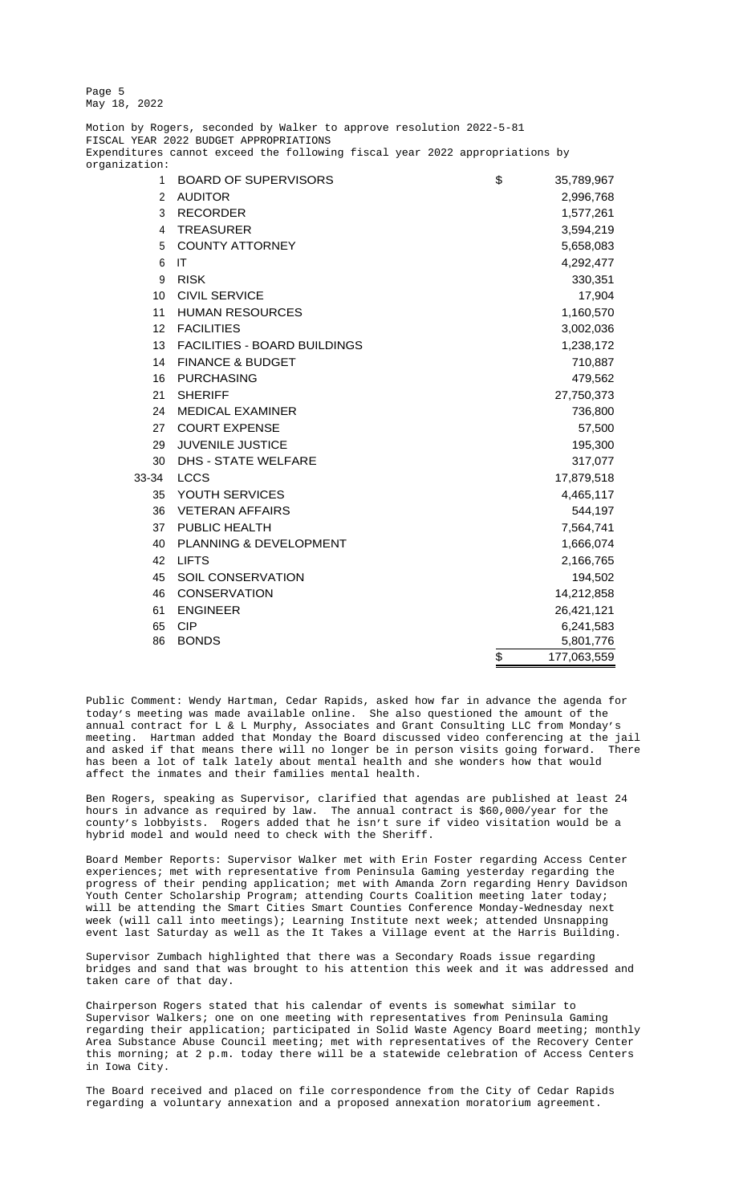Page 5 May 18, 2022

Motion by Rogers, seconded by Walker to approve resolution 2022-5-81 FISCAL YEAR 2022 BUDGET APPROPRIATIONS Expenditures cannot exceed the following fiscal year 2022 appropriations by organization: 1 BOARD OF SUPERVISORS  $$35,789,967$ 2 AUDITOR 2,996,768 3 RECORDER 1,577,261 4 TREASURER 3,594,219 5 COUNTY ATTORNEY 6,658,083 6 IT 4,292,477 9 RISK 330,351 10 CIVIL SERVICE 2012 17,904 11 HUMAN RESOURCES 1,160,570 12 FACILITIES 3,002,036 13 FACILITIES - BOARD BUILDINGS 1,238,172 14 FINANCE & BUDGET 210,887 16 PURCHASING 479,562 21 SHERIFF 27,750,373 24 MEDICAL EXAMINER 736,800 27 COURT EXPENSE 27 COURT 2001 12:00 12:00 12:00 12:00 12:00 12:00 12:00 12:00 12:00 12:00 12:00 12:00 12:00 1 29 JUVENILE JUSTICE 20 195,300 30 DHS - STATE WELFARE 317,077 33-34 LCCS 17,879,518 35 YOUTH SERVICES 4,465,117 36 VETERAN AFFAIRS 544,197 37 PUBLIC HEALTH 7,564,741 40 PLANNING & DEVELOPMENT 1,666,074

- 
- 42 LIFTS 2,166,765 45 SOIL CONSERVATION 194,502
- 46 CONSERVATION 14,212,858
- 61 ENGINEER 26,421,121
- 65 CIP 6,241,583
- 86 BONDS 5,801,776

Public Comment: Wendy Hartman, Cedar Rapids, asked how far in advance the agenda for today's meeting was made available online. She also questioned the amount of the annual contract for L & L Murphy, Associates and Grant Consulting LLC from Monday's meeting. Hartman added that Monday the Board discussed video conferencing at the jail and asked if that means there will no longer be in person visits going forward. There has been a lot of talk lately about mental health and she wonders how that would affect the inmates and their families mental health.

\$ 177,063,559

Ben Rogers, speaking as Supervisor, clarified that agendas are published at least 24 hours in advance as required by law. The annual contract is \$60,000/year for the county's lobbyists. Rogers added that he isn't sure if video visitation would be a hybrid model and would need to check with the Sheriff.

Board Member Reports: Supervisor Walker met with Erin Foster regarding Access Center experiences; met with representative from Peninsula Gaming yesterday regarding the progress of their pending application; met with Amanda Zorn regarding Henry Davidson Youth Center Scholarship Program; attending Courts Coalition meeting later today; will be attending the Smart Cities Smart Counties Conference Monday-Wednesday next week (will call into meetings); Learning Institute next week; attended Unsnapping event last Saturday as well as the It Takes a Village event at the Harris Building.

Supervisor Zumbach highlighted that there was a Secondary Roads issue regarding bridges and sand that was brought to his attention this week and it was addressed and taken care of that day.

Chairperson Rogers stated that his calendar of events is somewhat similar to Supervisor Walkers; one on one meeting with representatives from Peninsula Gaming regarding their application; participated in Solid Waste Agency Board meeting; monthly Area Substance Abuse Council meeting; met with representatives of the Recovery Center this morning; at 2 p.m. today there will be a statewide celebration of Access Centers in Iowa City.

The Board received and placed on file correspondence from the City of Cedar Rapids regarding a voluntary annexation and a proposed annexation moratorium agreement.